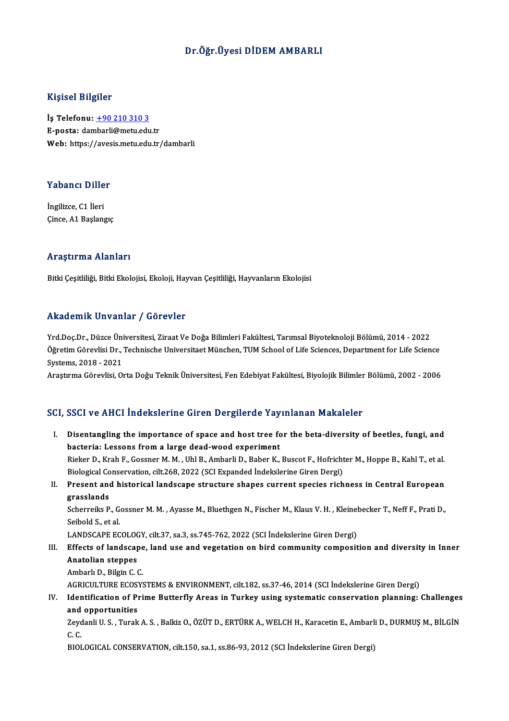# Dr.Öğr. Üyesi DİDEM AMBARLI

## Kişisel Bilgiler

İş Telefonu: +90 210 310 3 E-posta: da[mbarli@metu.edu](tel:+90 210 310 3).tr Web: https://avesis.metu.edu.tr/dambarli

# Yabancı Diller<br>Yabancı Diller

**Yabancı Dille<br>İngilizce, C1 İleri<br>Gince, A1 Basland** İngilizce, C1 İleri<br>Çince, A1 Başlangıç

### Araştırma Alanları

Bitki Çeşitliliği, Bitki Ekolojisi, Ekoloji, Hayvan Çeşitliliği, Hayvanların Ekolojisi

### Akademik Unvanlar / Görevler

Yrd.Doç.Dr.,DüzceÜniversitesi,ZiraatVeDoğaBilimleriFakültesi,TarımsalBiyoteknolojiBölümü,2014 -2022 Frictat Shritt Shrummar 7, 1983 oversi<br>Yrd.Doç.Dr., Düzce Üniversitesi, Ziraat Ve Doğa Bilimleri Fakültesi, Tarımsal Biyoteknoloji Bölümü, 2014 - 2022<br>Öğretim Görevlisi Dr., Technische Universitaet München, TUM School of L Yrd.Doç.Dr., Düzce Üni<br>Öğretim Görevlisi Dr.,<br>Systems, 2018 - 2021<br>Arastuma Görevlisi, Oʻ Öğretim Görevlisi Dr., Technische Universitaet München, TUM School of Life Sciences, Department for Life Science<br>Systems, 2018 - 2021<br>Araştırma Görevlisi, Orta Doğu Teknik Üniversitesi, Fen Edebiyat Fakültesi, Biyolojik Bi

Araştırma Görevlisi, Orta Doğu Teknik Üniversitesi, Fen Edebiyat Fakültesi, Biyolojik Bilimler Bölümü, 2002 - 2006<br>SCI, SSCI ve AHCI İndekslerine Giren Dergilerde Yayınlanan Makaleler

I. Disentangling the importance of space and host tree for the beta-diversity of beetles, fungi, and bacteria: Lessons froma large dead-wood experiment Rieker D., Krah F., Gossner M. M., Uhl B., Ambarli D., Baber K., Buscot F., Hofrichter M., Hoppe B., Kahl T., et al. bacteria: Lessons from a large dead-wood experiment<br>Rieker D., Krah F., Gossner M. M. , Uhl B., Ambarli D., Baber K., Buscot F., Hofricht<br>Biological Conservation, cilt.268, 2022 (SCI Expanded İndekslerine Giren Dergi)<br>Pres II. Present and historical landscape structure shapes current species richness in Central European grasslands Biological Co<br>Present and<br>grasslands<br>Scherreike P Present and historical landscape structure shapes current species richness in Central European<br>grasslands<br>Scherreiks P., Gossner M. M. , Ayasse M., Bluethgen N., Fischer M., Klaus V. H. , Kleinebecker T., Neff F., Prati D. **grasslands<br>Scherreiks P., G.<br>Seibold S., et al.<br>LANDSCAPE FC.** 

Scherreiks P., Gossner M. M. , Ayasse M., Bluethgen N., Fischer M., Klaus V. H. , Kleinel<br>Seibold S., et al.<br>LANDSCAPE ECOLOGY, cilt.37, sa.3, ss.745-762, 2022 (SCI İndekslerine Giren Dergi)<br>Fffects of landssane, land use

# Seibold S., et al.<br>LANDSCAPE ECOLOGY, cilt.37, sa.3, ss.745-762, 2022 (SCI İndekslerine Giren Dergi)<br>III. Effects of landscape, land use and vegetation on bird community composition and diversity in Inner<br>Anatelian stannes LANDSCAPE ECOLOO<br>Effects of landscap<br>Anatolian steppes Effects of landscape<br>Anatolian steppes<br>Ambarlı D., Bilgin C. C.<br>ACPICULTUPE ECOSY Anatolian steppes<br>Ambarlı D., Bilgin C. C.<br>AGRICULTURE ECOSYSTEMS & ENVIRONMENT, cilt.182, ss.37-46, 2014 (SCI İndekslerine Giren Dergi)<br>Identification of Brime Butterfly Areas in Turkey using systematis senservation plann

Ambarlı D., Bilgin C. C.<br>AGRICULTURE ECOSYSTEMS & ENVIRONMENT, cilt.182, ss.37-46, 2014 (SCI İndekslerine Giren Dergi)<br>IV. Identification of Prime Butterfly Areas in Turkey using systematic conservation planning: Challenge AGRICULTURE ECOS<br>Identification of Pi<br>and opportunities<br>Zavdanli U.S. Turak Identification of Prime Butterfly Areas in Turkey using systematic conservation planning: Challenges<br>and opportunities<br>Zeydanli U. S. , Turak A. S. , Balkiz O., ÖZÜT D., ERTÜRK A., WELCH H., Karacetin E., Ambarli D., DURMU

and<br>Zeyd<br>C.C.<br>PIOL Zeydanli U. S. , Turak A. S. , Balkiz O., ÖZÜT D., ERTÜRK A., WELCH H., Karacetin E., Ambarli<br>C. C.<br>BIOLOGICAL CONSERVATION, cilt.150, sa.1, ss.86-93, 2012 (SCI İndekslerine Giren Dergi)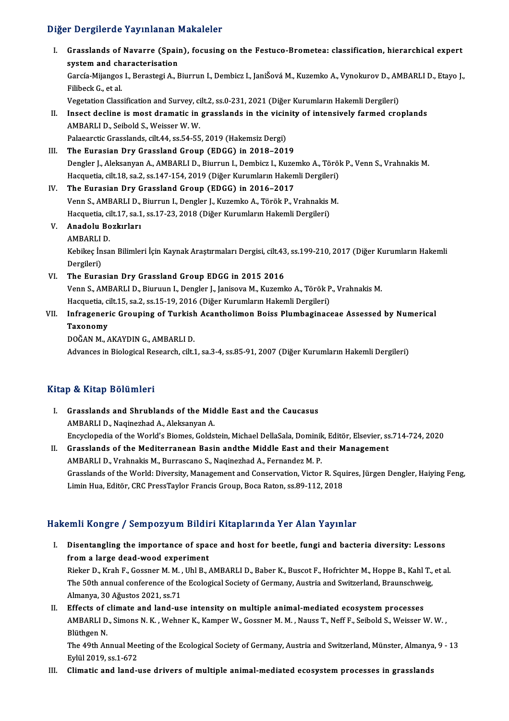# Diğer Dergilerde Yayınlanan Makaleler

Iger Dergilerde Yayınlanan Makaleler<br>I. Grasslands of Navarre (Spain), focusing on the Festuco-Brometea: classification, hierarchical expert<br>system and sharesterisation s procedus and international<br>System and characterisation<br>Corgio Mijangos L. Bornstoni A. E Grasslands of Navarre (Spain), focusing on the Festuco-Brometea: classification, hierarchical expert<br>system and characterisation<br>García-Mijangos I., Berastegi A., Biurrun I., Dembicz I., JaniŠová M., Kuzemko A., Vynokurov system and ch<br>García-Mijangos<br>Filibeck G., et al.<br>Vegetation Class García-Mijangos I., Berastegi A., Biurrun I., Dembicz I., JaniŠová M., Kuzemko A., Vynokurov D., AM<br>Filibeck G., et al.<br>Vegetation Classification and Survey, cilt.2, ss.0-231, 2021 (Diğer Kurumların Hakemli Dergileri)<br>Inse Filibeck G., et al.<br>Vegetation Classification and Survey, cilt.2, ss.0-231, 2021 (Diğer Kurumların Hakemli Dergileri)<br>II. Insect decline is most dramatic in grasslands in the vicinity of intensively farmed croplands AMBARLID.,Seibold S.,WeisserW.W. Insect decline is most dramatic in grasslands in the vicin<br>AMBARLI D., Seibold S., Weisser W. W.<br>Palaearctic Grasslands, cilt.44, ss.54-55, 2019 (Hakemsiz Dergi)<br>The Eurosian Dry Crassland Croup (EDCC) in 2018, 201 AMBARLI D., Seibold S., Weisser W. W.<br>Palaearctic Grasslands, cilt.44, ss.54-55, 2019 (Hakemsiz Dergi)<br>III. The Eurasian Dry Grassland Group (EDGG) in 2018–2019<br>Densler L. Aleksanyan A. AMBARLI D. Biumun L. Dembisr L. Kure Palaearctic Grasslands, cilt.44, ss.54-55, 2019 (Hakemsiz Dergi)<br>The Eurasian Dry Grassland Group (EDGG) in 2018–2019<br>Dengler J., Aleksanyan A., AMBARLI D., Biurrun I., Dembicz I., Kuzemko A., Török P., Venn S., Vrahnakis The Eurasian Dry Grassland Group (EDGG) in 2018–2019<br>Dengler J., Aleksanyan A., AMBARLI D., Biurrun I., Dembicz I., Kuzemko A., Töröl<br>Hacquetia, cilt.18, sa.2, ss.147-154, 2019 (Diğer Kurumların Hakemli Dergileri)<br>The Euro Dengler J., Aleksanyan A., AMBARLI D., Biurrun I., Dembicz I., Kuzel<br>Hacquetia, cilt.18, sa.2, ss.147-154, 2019 (Diğer Kurumların Haken<br>IV. The Eurasian Dry Grassland Group (EDGG) in 2016–2017<br>Venn S. AMBARLI D. Biurrun J. Hacquetia, cilt.18, sa.2, ss.147-154, 2019 (Diğer Kurumların Hakemli Dergileri)<br>The Eurasian Dry Grassland Group (EDGG) in 2016–2017<br>Venn S., AMBARLI D., Biurrun I., Dengler J., Kuzemko A., Török P., Vrahnakis M.<br>Hacquetia The Eurasian Dry Grassland Group (EDGG) in 2016–2017<br>Venn S., AMBARLI D., Biurrun I., Dengler J., Kuzemko A., Török P., Vrahnakis l<br>Hacquetia, cilt.17, sa.1, ss.17-23, 2018 (Diğer Kurumların Hakemli Dergileri)<br>Anadelu Begk V. Anadolu Bozkırları Hacquetia, cilt.17, sa.1, ss.17-23, 2018 (Diğer Kurumların Hakemli Dergileri) Anadolu Bozkırları<br>AMBARLI D.<br>Kebikeç İnsan Bilimleri İçin Kaynak Araştırmaları Dergisi, cilt.43, ss.199-210, 2017 (Diğer Kurumların Hakemli AMBARLI<br>Kebikeç İn<br>Dergileri)<br>The Eura VI. The Eurasian Dry Grassland Group EDGG in 2015 2016 Dergileri)<br><mark>The Eurasian Dry Grassland Group EDGG in 2015 2016</mark><br>Venn S., AMBARLI D., Biuruun I., Dengler J., Janisova M., Kuzemko A., Török P., Vrahnakis M.<br>Hagaustia silt 15 sə 2 sə 15 19 2016 (Diğer Kurumların Hakomli De The Eurasian Dry Grassland Group EDGG in 2015 2016<br>Venn S., AMBARLI D., Biuruun I., Dengler J., Janisova M., Kuzemko A., Török P<br>Hacquetia, cilt.15, sa.2, ss.15-19, 2016 (Diğer Kurumların Hakemli Dergileri)<br>Infrasonoria Gr VII. Infrageneric Grouping of Turkish Acantholimon Boiss Plumbaginaceae Assessed by Numerical<br>Taxonomy Hacquetia, cilt.15, sa.2, ss.15-19, 2016 (Diğer Kurumların Hakemli Dergileri) DOĞANM.,AKAYDING.,AMBARLID. Advances in Biological Research, cilt.1, sa.3-4, ss.85-91, 2007 (Diğer Kurumların Hakemli Dergileri)

# Kitap & Kitap Bölümleri

- I. Grasslands and Shrublands of the Middle East and the Caucasus AMBARLID., Naqinezhad A., Aleksanyan A. Grasslands and Shrublands of the Middle East and the Caucasus<br>AMBARLI D., Naqinezhad A., Aleksanyan A.<br>Encyclopedia of the World's Biomes, Goldstein, Michael DellaSala, Dominik, Editör, Elsevier, ss.714-724, 2020<br>Crassland AMBARLI D., Naqinezhad A., Aleksanyan A.<br>Encyclopedia of the World's Biomes, Goldstein, Michael DellaSala, Dominik, Editör, Elsevier, ss<br>II. Grasslands of the Mediterranean Basin andthe Middle East and their Management<br>AMB
- Encyclopedia of the World's Biomes, Goldstein, Michael DellaSala, Dominik<br>Grasslands of the Mediterranean Basin andthe Middle East and the<br>AMBARLI D., Vrahnakis M., Burrascano S., Naqinezhad A., Fernandez M. P.<br>Crasslands Grasslands of the Mediterranean Basin andthe Middle East and their Management<br>AMBARLI D., Vrahnakis M., Burrascano S., Naqinezhad A., Fernandez M. P.<br>Grasslands of the World: Diversity, Management and Conservation, Victor AMBARLI D., Vrahnakis M., Burrascano S., Naqinezhad A., Fernandez M. P.<br>Grasslands of the World: Diversity, Management and Conservation, Victor R. Squ<br>Limin Hua, Editör, CRC PressTaylor Francis Group, Boca Raton, ss.89-112

# Limin Hua, Editör, CRC PressTaylor Francis Group, Boca Raton, ss.89-112, 2018<br>Hakemli Kongre / Sempozyum Bildiri Kitaplarında Yer Alan Yayınlar

akemli Kongre / Sempozyum Bildiri Kitaplarında Yer Alan Yayınlar<br>I. Disentangling the importance of space and host for beetle, fungi and bacteria diversity: Lessons<br>from a large deed weed evregiment From Hongrey Componyum Brian<br>Disentangling the importance of space<br>from a large dead-wood experiment Disentangling the importance of space and host for beetle, fungi and bacteria diversity: Lessons<br>from a large dead-wood experiment<br>Rieker D., Krah F., Gossner M. M. , Uhl B., AMBARLI D., Baber K., Buscot F., Hofrichter M.,

from a large dead-wood experiment<br>Rieker D., Krah F., Gossner M. M. , Uhl B., AMBARLI D., Baber K., Buscot F., Hofrichter M., Hoppe B., Kahl T.,<br>The 50th annual conference of the Ecological Society of Germany, Austria and Rieker D., Krah F., Gossner M. M. ,<br>The 50th annual conference of th<br>Almanya, 30 Ağustos 2021, ss.71<br>Effects of elimate and land us The 50th annual conference of the Ecological Society of Germany, Austria and Switzerland, Braunschweig,<br>Almanya, 30 Ağustos 2021, ss.71

AMBARLI D., Simons N. K. , Wehner K., Kamper W., Gossner M. M. , Nauss T., Neff F., Seibold S., Weisser W. W. ,<br>Blüthgen N. II. Effects of climate and land-use intensity on multiple animal-mediated ecosystem processes AMBARLI D., Simons N. K. , Wehner K., Kamper W., Gossner M. M. , Nauss T., Neff F., Seibold S., Weisser W. W. ,<br>Blüthgen N.<br>The 49th Annual Meeting of the Ecological Society of Germany, Austria and Switzerland, Münster, Al

Blüthgen N.<br>The 49th Annual Mee<br>Eylül 2019, ss.1-672<br>Climatie and land .

Eylül 2019, ss.1-672<br>III. Climatic and land-use drivers of multiple animal-mediated ecosystem processes in grasslands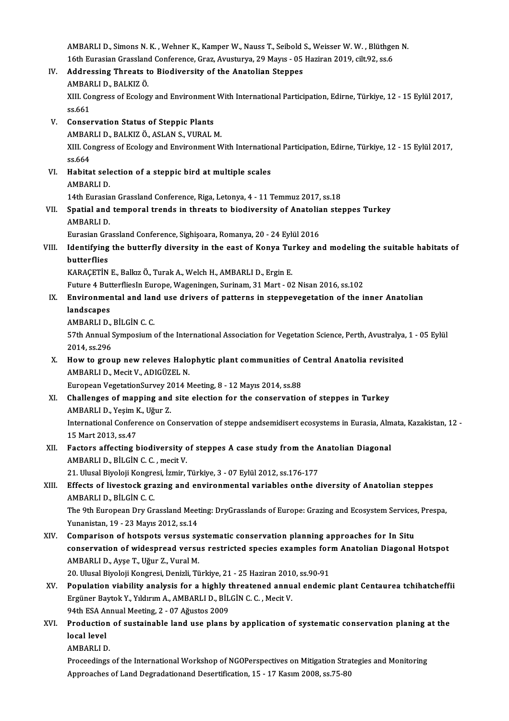AMBARLI D., Simons N. K. , Wehner K., Kamper W., Nauss T., Seibold S., Weisser W. W. , Blüthgen N.<br>16th Eunesian Grassland Conforence Grag, Ameriurus, 29 Maure, 05 Hagiran 2010, silt 92, se 6. AMBARLI D., Simons N. K. , Wehner K., Kamper W., Nauss T., Seibold S., Weisser W. W. , Blüthge<br>16th Eurasian Grassland Conference, Graz, Avusturya, 29 Mayıs - 05 Haziran 2019, cilt.92, ss.6<br>Addressing Threats to Biodiversi AMBARLI D., Simons N. K. , Wehner K., Kamper W., Nauss T., Seibold 3<br>16th Eurasian Grassland Conference, Graz, Avusturya, 29 Mayıs - 05<br>IV. Addressing Threats to Biodiversity of the Anatolian Steppes 16th Eurasian Grassland<br>**Addressing Threats t<br>AMBARLI D., BALKIZ Ö.**<br>YIIL Congress of Esolog IV. Addressing Threats to Biodiversity of the Anatolian Steppes<br>AMBARLI D., BALKIZ Ö.<br>XIII. Congress of Ecology and Environment With International Participation, Edirne, Türkiye, 12 - 15 Eylül 2017,<br>ss.661 AMBAF<br>XIII. Co<br>ss.661<br>Consey XIII. Congress of Ecology and Environment<br>ss.661<br>V. Conservation Status of Steppic Plants<br>AMPAPLLD, PALKIZ Ö, ASLAN S, VUPALI ss.661<br>Conservation Status of Steppic Plants<br>AMBARLI D., BALKIZ Ö., ASLAN S., VURAL M.<br>YIIL Congress of Eselegy and Environment M Conservation Status of Steppic Plants<br>AMBARLI D., BALKIZ Ö., ASLAN S., VURAL M.<br>XIII. Congress of Ecology and Environment With International Participation, Edirne, Türkiye, 12 - 15 Eylül 2017, AMBAF<br>XIII. Co<br>ss.664<br>Habita XIII. Congress of Ecology and Environment With Internation<br>ss.664<br>VI. Habitat selection of a steppic bird at multiple scales<br>AMPAPLLD ss.664<br><mark>Habitat sele</mark><br>AMBARLI D.<br>14th Eurasia AMBARLI D.<br>14th Eurasian Grassland Conference, Riga, Letonya, 4 - 11 Temmuz 2017, ss.18 AMBARLI D.<br>14th Eurasian Grassland Conference, Riga, Letonya, 4 - 11 Temmuz 2017, ss.18<br>VII. Spatial and temporal trends in threats to biodiversity of Anatolian steppes Turkey<br>AMBARLI D 14th Eurasia<br>Spatial and<br>AMBARLI D.<br>Eurasian Cra Spatial and temporal trends in threats to biodiversity of Anatolia<br>AMBARLI D.<br>Eurasian Grassland Conference, Sighişoara, Romanya, 20 - 24 Eylül 2016<br>Identifying the butterfly diversity in the east of Konya Turkey en AMBARLI D.<br>Eurasian Grassland Conference, Sighişoara, Romanya, 20 - 24 Eylül 2016<br>VIII. Identifying the butterfly diversity in the east of Konya Turkey and modeling the suitable habitats of Eurasian Grand<br>Identifying<br>butterflies<br>KARACETİN Identifying the butterfly diversity in the east of Konya Tu:<br>butterflies<br>KARAÇETİN E., Balkız Ö., Turak A., Welch H., AMBARLI D., Ergin E.<br>Euture 4 Butterflieska Europe Wageningen Surinam 21 Mart - 02 butterflies<br>KARAÇETİN E., Balkız Ö., Turak A., Welch H., AMBARLI D., Ergin E.<br>Future 4 ButterfliesIn Europe, Wageningen, Surinam, 31 Mart - 02 Nisan 2016, ss.102<br>Environmentel and Jand use drivers of natterns in stannavega KARAÇETİN E., Balkız Ö., Turak A., Welch H., AMBARLI D., Ergin E.<br>Future 4 ButterfliesIn Europe, Wageningen, Surinam, 31 Mart - 02 Nisan 2016, ss.102<br>IX. Environmental and land use drivers of patterns in steppevegetation o Future 4 But<br><mark>Environmer</mark><br>landscapes<br>AMBABI I D Environmental and lan<br>landscapes<br>AMBARLI D., BİLGİN C. C.<br>57th Annual Sumnosium landscapes<br>AMBARLI D., BİLGİN C. C.<br>57th Annual Symposium of the International Association for Vegetation Science, Perth, Avustralya, 1 - 05 Eylül AMBARLI D.,<br>57th Annual :<br>2014, ss.296<br>How to grou 57th Annual Symposium of the International Association for Vegetation Science, Perth, Avustralya,<br>2014, ss.296<br>X. How to group new releves Halophytic plant communities of Central Anatolia revisited<br>AMPARLID, Mosit V. ADICÜ 2014, ss.296<br>How to group new releves Halo<br>AMBARLI D., Mecit V., ADIGÜZEL N.<br>European VegetationSurvey 2014 N How to group new releves Halophytic plant communities of<br>AMBARLI D., Mecit V., ADIGÜZEL N.<br>European VegetationSurvey 2014 Meeting, 8 - 12 Mayıs 2014, ss.88<br>Challanges of manning and site alastion for the conservation AMBARLI D., Mecit V., ADIGÜZEL N.<br>European VegetationSurvey 2014 Meeting, 8 - 12 Mayıs 2014, ss.88<br>XI. Challenges of mapping and site election for the conservation of steppes in Turkey European VegetationSurvey 2<br>Challenges of mapping and<br>AMBARLI D., Yeşim K., Uğur Z.<br>International Conference on G International Conference on Conservation of steppe andsemidisert ecosystems in Eurasia, Almata, Kazakistan, 12 -<br>15 Mart 2013, ss.47 AMBARLI D., Yeşim K., Uğur Z. International Conference on Conservation of steppe andsemidisert ecosystems in Eurasia, Alm<br>15 Mart 2013, ss.47<br>XII. Factors affecting biodiversity of steppes A case study from the Anatolian Diagonal<br>AMBABLI D BU Cin C C m 15 Mart 2013, ss.47<br>Factors affecting biodiversity c<br>AMBARLI D., BİLGİN C. C. , mecit V.<br>21 Hlucel Biyeleji Kongresi İsmir ( Factors affecting biodiversity of steppes A case study from the A<br>AMBARLI D., BİLGİN C. C. , mecit V.<br>21. Ulusal Biyoloji Kongresi, İzmir, Türkiye, 3 - 07 Eylül 2012, ss.176-177<br>Effecta of livestesk spesing and apvirenment AMBARLI D., BİLGİN C. C. , mecit V.<br>21. Ulusal Biyoloji Kongresi, İzmir, Türkiye, 3 - 07 Eylül 2012, ss.176-177<br>XIII. Effects of livestock grazing and environmental variables onthe diversity of Anatolian steppes<br>AMBARLI D. 21. Ulusal Biyoloji Kongre<br><mark>Effects of livestock gra</mark><br>AMBARLI D., BİLGİN C. C.<br>The <sup>Qth</sup> European Dry Cr Effects of livestock grazing and environmental variables onthe diversity of Anatolian steppes<br>AMBARLI D., BİLGİN C. C.<br>The 9th European Dry Grassland Meeting: DryGrasslands of Europe: Grazing and Ecosystem Services, Prespa AMBARLI D., BİLGİN C. C.<br>The 9th European Dry Grassland Meet<br>Yunanistan, 19 - 23 Mayıs 2012, ss.14<br>Comnarison of botspets yorsus su The 9th European Dry Grassland Meeting: DryGrasslands of Europe: Grazing and Ecosystem Services<br>
Yunanistan, 19 - 23 Mayıs 2012, ss.14<br>
XIV. Comparison of hotspots versus systematic conservation planning approaches for In Yunanistan, 19 - 23 Mayıs 2012, ss.14<br>Comparison of hotspots versus systematic conservation planning approaches for In Situ<br>conservation of widespread versus restricted species examples form Anatolian Diagonal Hotspot<br>AMPA XIV. Comparison of hotspots versus systematic conservation planning approaches for In Situ conservation of widespread versus restricted species examples form Anatolian Diagonal AMBARLI D., Ayşe T., Uğur Z., Vural M. conservation of widespread versus restricted species examples for<br>AMBARLI D., Ayşe T., Uğur Z., Vural M.<br>20. Ulusal Biyoloji Kongresi, Denizli, Türkiye, 21 - 25 Haziran 2010, ss.90-91<br>Bonulation viability analysis for a bi AMBARLI D., Ayşe T., Uğur Z., Vural M.<br>20. Ulusal Biyoloji Kongresi, Denizli, Türkiye, 21 - 25 Haziran 2010, ss.90-91<br>XV. Population viability analysis for a highly threatened annual endemic plant Centaurea tchihatchef 20. Ulusal Biyoloji Kongresi, Denizli, Türkiye, 21 - 25 Haziran 2010, ss.90-91<br>Population viability analysis for a highly threatened annual endem<br>Ergüner Baytok Y., Yıldırım A., AMBARLI D., BİLGİN C. C. , Mecit V. Population viability analysis for a highly t<br>Ergüner Baytok Y., Yıldırım A., AMBARLI D., BİL<br>94th ESA Annual Meeting, 2 - 07 Ağustos 2009<br>Production of sustainable land use plans l Ergüner Baytok Y., Yıldırım A., AMBARLI D., BİLGİN C. C. , Mecit V.<br>94th ESA Annual Meeting, 2 - 07 Ağustos 2009<br>XVI. Production of sustainable land use plans by application of systematic conservation planing at the<br>lo 94th ESA Annual Meeting, 2 - 07 Ağustos 2009<br>Production of sustainable land use plans<br>local level<br>AMBARLI D. Production<br>local level<br>AMBARLI D.<br><sup>Drocoodings</sup> **local level<br>AMBARLI D.**<br>Proceedings of the International Workshop of NGOPerspectives on Mitigation Strategies and Monitoring<br>Annreashes of Land Desuadationand Desertification 15 , 17 Kesum 2008, ss 75, 80. AMBARLI D.<br>Proceedings of the International Workshop of NGOPerspectives on Mitigation Stra<br>Approaches of Land Degradationand Desertification, 15 - 17 Kasım 2008, ss.75-80